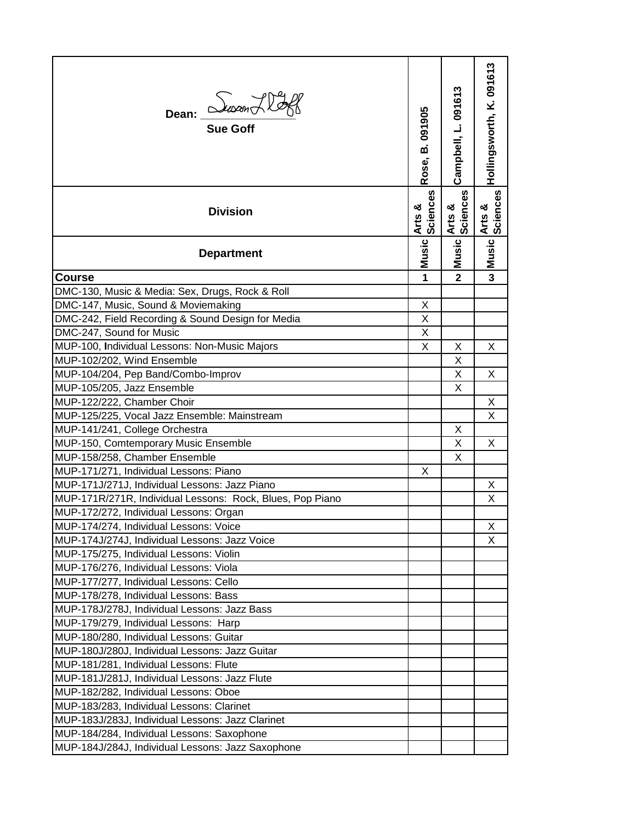| Dean: <i>Susan Hoff</i>                                   | B.091905<br>Rose,  | Campbell, L. 091613 | Hollingsworth, K. 091613 |
|-----------------------------------------------------------|--------------------|---------------------|--------------------------|
| <b>Division</b>                                           | Arts &<br>Sciences | Sciences<br>Arts &  | Arts &<br>Sciences       |
| <b>Department</b>                                         | <b>Music</b>       | <b>Music</b>        | Music                    |
| <b>Course</b>                                             | 1                  | $\mathbf{2}$        | $\overline{\mathbf{3}}$  |
| DMC-130, Music & Media: Sex, Drugs, Rock & Roll           |                    |                     |                          |
| DMC-147, Music, Sound & Moviemaking                       | X                  |                     |                          |
| DMC-242, Field Recording & Sound Design for Media         | X                  |                     |                          |
| DMC-247, Sound for Music                                  | X                  |                     |                          |
| MUP-100, Individual Lessons: Non-Music Majors             | X                  | X                   | X                        |
| MUP-102/202, Wind Ensemble                                |                    | X                   |                          |
| MUP-104/204, Pep Band/Combo-Improv                        |                    | X                   | X                        |
| MUP-105/205, Jazz Ensemble                                |                    | X                   |                          |
| MUP-122/222, Chamber Choir                                |                    |                     | X                        |
| MUP-125/225, Vocal Jazz Ensemble: Mainstream              |                    |                     | X                        |
| MUP-141/241, College Orchestra                            |                    | X                   |                          |
| MUP-150, Comtemporary Music Ensemble                      |                    | X                   | X                        |
| MUP-158/258, Chamber Ensemble                             |                    | X                   |                          |
| MUP-171/271, Individual Lessons: Piano                    | X                  |                     |                          |
| MUP-171J/271J, Individual Lessons: Jazz Piano             |                    |                     | X                        |
| MUP-171R/271R, Individual Lessons: Rock, Blues, Pop Piano |                    |                     | X                        |
| MUP-172/272, Individual Lessons: Organ                    |                    |                     |                          |
| MUP-174/274, Individual Lessons: Voice                    |                    |                     | Х                        |
| MUP-174J/274J, Individual Lessons: Jazz Voice             |                    |                     | X                        |
| MUP-175/275, Individual Lessons: Violin                   |                    |                     |                          |
| MUP-176/276, Individual Lessons: Viola                    |                    |                     |                          |
| MUP-177/277, Individual Lessons: Cello                    |                    |                     |                          |
| MUP-178/278, Individual Lessons: Bass                     |                    |                     |                          |
| MUP-178J/278J, Individual Lessons: Jazz Bass              |                    |                     |                          |
| MUP-179/279, Individual Lessons: Harp                     |                    |                     |                          |
| MUP-180/280, Individual Lessons: Guitar                   |                    |                     |                          |
| MUP-180J/280J, Individual Lessons: Jazz Guitar            |                    |                     |                          |
| MUP-181/281, Individual Lessons: Flute                    |                    |                     |                          |
| MUP-181J/281J, Individual Lessons: Jazz Flute             |                    |                     |                          |
| MUP-182/282, Individual Lessons: Oboe                     |                    |                     |                          |
| MUP-183/283, Individual Lessons: Clarinet                 |                    |                     |                          |
| MUP-183J/283J, Individual Lessons: Jazz Clarinet          |                    |                     |                          |
| MUP-184/284, Individual Lessons: Saxophone                |                    |                     |                          |
| MUP-184J/284J, Individual Lessons: Jazz Saxophone         |                    |                     |                          |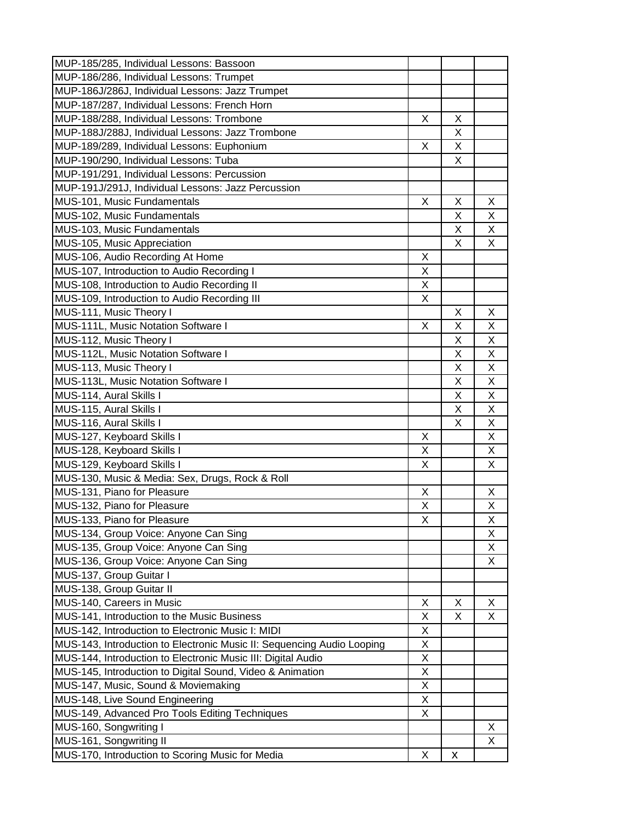| MUP-186/286, Individual Lessons: Trumpet<br>MUP-186J/286J, Individual Lessons: Jazz Trumpet<br>MUP-187/287, Individual Lessons: French Horn<br>MUP-188/288, Individual Lessons: Trombone<br>X<br>X<br>X<br>MUP-188J/288J, Individual Lessons: Jazz Trombone<br>MUP-189/289, Individual Lessons: Euphonium<br>X<br>X<br>MUP-190/290, Individual Lessons: Tuba<br>X<br>MUP-191/291, Individual Lessons: Percussion<br>MUP-191J/291J, Individual Lessons: Jazz Percussion<br>MUS-101, Music Fundamentals<br>X<br>X<br>X<br>MUS-102, Music Fundamentals<br>X<br>Χ<br>MUS-103, Music Fundamentals<br>X<br>Χ<br>X<br>X<br>MUS-105, Music Appreciation<br>MUS-106, Audio Recording At Home<br>X<br>MUS-107, Introduction to Audio Recording I<br>X<br>MUS-108, Introduction to Audio Recording II<br>X<br>MUS-109, Introduction to Audio Recording III<br>X<br>MUS-111, Music Theory I<br>X<br>X<br>MUS-111L, Music Notation Software I<br>X<br>Χ<br>Χ<br>MUS-112, Music Theory I<br>Χ<br>Χ<br>MUS-112L, Music Notation Software I<br>Χ<br>Χ<br>X<br>X<br>MUS-113, Music Theory I<br>MUS-113L, Music Notation Software I<br>X<br>X<br>MUS-114, Aural Skills I<br>X<br>Χ<br>MUS-115, Aural Skills I<br>X<br>Χ<br>MUS-116, Aural Skills I<br>X<br>Χ<br>MUS-127, Keyboard Skills I<br>X<br>X<br>MUS-128, Keyboard Skills I<br>X<br>X<br>MUS-129, Keyboard Skills I<br>X<br>X<br>MUS-130, Music & Media: Sex, Drugs, Rock & Roll<br>MUS-131, Piano for Pleasure<br>X<br>X<br>MUS-132, Piano for Pleasure<br>X<br>Χ<br>Χ<br>MUS-133, Piano for Pleasure<br>Χ<br>X<br>MUS-134, Group Voice: Anyone Can Sing<br>MUS-135, Group Voice: Anyone Can Sing<br>X<br>MUS-136, Group Voice: Anyone Can Sing<br>X<br>MUS-137, Group Guitar I<br>MUS-138, Group Guitar II<br>MUS-140, Careers in Music<br>X<br>X<br>X<br>MUS-141, Introduction to the Music Business<br>X<br>X<br>Χ<br>MUS-142, Introduction to Electronic Music I: MIDI<br>X<br>MUS-143, Introduction to Electronic Music II: Sequencing Audio Looping<br>X<br>MUS-144, Introduction to Electronic Music III: Digital Audio<br>X<br>MUS-145, Introduction to Digital Sound, Video & Animation<br>X<br>MUS-147, Music, Sound & Moviemaking<br>X<br>MUS-148, Live Sound Engineering<br>X<br>MUS-149, Advanced Pro Tools Editing Techniques<br>X<br>MUS-160, Songwriting I<br>X<br>X<br>MUS-170, Introduction to Scoring Music for Media<br>X<br>x | MUP-185/285, Individual Lessons: Bassoon |  |  |
|------------------------------------------------------------------------------------------------------------------------------------------------------------------------------------------------------------------------------------------------------------------------------------------------------------------------------------------------------------------------------------------------------------------------------------------------------------------------------------------------------------------------------------------------------------------------------------------------------------------------------------------------------------------------------------------------------------------------------------------------------------------------------------------------------------------------------------------------------------------------------------------------------------------------------------------------------------------------------------------------------------------------------------------------------------------------------------------------------------------------------------------------------------------------------------------------------------------------------------------------------------------------------------------------------------------------------------------------------------------------------------------------------------------------------------------------------------------------------------------------------------------------------------------------------------------------------------------------------------------------------------------------------------------------------------------------------------------------------------------------------------------------------------------------------------------------------------------------------------------------------------------------------------------------------------------------------------------------------------------------------------------------------------------------------------------------------------------------------------------------------------------------------------------------------------------------------------------------------------------------------------------------------------------------------------------------------------------------------------------------------------------|------------------------------------------|--|--|
|                                                                                                                                                                                                                                                                                                                                                                                                                                                                                                                                                                                                                                                                                                                                                                                                                                                                                                                                                                                                                                                                                                                                                                                                                                                                                                                                                                                                                                                                                                                                                                                                                                                                                                                                                                                                                                                                                                                                                                                                                                                                                                                                                                                                                                                                                                                                                                                          |                                          |  |  |
|                                                                                                                                                                                                                                                                                                                                                                                                                                                                                                                                                                                                                                                                                                                                                                                                                                                                                                                                                                                                                                                                                                                                                                                                                                                                                                                                                                                                                                                                                                                                                                                                                                                                                                                                                                                                                                                                                                                                                                                                                                                                                                                                                                                                                                                                                                                                                                                          |                                          |  |  |
|                                                                                                                                                                                                                                                                                                                                                                                                                                                                                                                                                                                                                                                                                                                                                                                                                                                                                                                                                                                                                                                                                                                                                                                                                                                                                                                                                                                                                                                                                                                                                                                                                                                                                                                                                                                                                                                                                                                                                                                                                                                                                                                                                                                                                                                                                                                                                                                          |                                          |  |  |
|                                                                                                                                                                                                                                                                                                                                                                                                                                                                                                                                                                                                                                                                                                                                                                                                                                                                                                                                                                                                                                                                                                                                                                                                                                                                                                                                                                                                                                                                                                                                                                                                                                                                                                                                                                                                                                                                                                                                                                                                                                                                                                                                                                                                                                                                                                                                                                                          |                                          |  |  |
|                                                                                                                                                                                                                                                                                                                                                                                                                                                                                                                                                                                                                                                                                                                                                                                                                                                                                                                                                                                                                                                                                                                                                                                                                                                                                                                                                                                                                                                                                                                                                                                                                                                                                                                                                                                                                                                                                                                                                                                                                                                                                                                                                                                                                                                                                                                                                                                          |                                          |  |  |
|                                                                                                                                                                                                                                                                                                                                                                                                                                                                                                                                                                                                                                                                                                                                                                                                                                                                                                                                                                                                                                                                                                                                                                                                                                                                                                                                                                                                                                                                                                                                                                                                                                                                                                                                                                                                                                                                                                                                                                                                                                                                                                                                                                                                                                                                                                                                                                                          |                                          |  |  |
|                                                                                                                                                                                                                                                                                                                                                                                                                                                                                                                                                                                                                                                                                                                                                                                                                                                                                                                                                                                                                                                                                                                                                                                                                                                                                                                                                                                                                                                                                                                                                                                                                                                                                                                                                                                                                                                                                                                                                                                                                                                                                                                                                                                                                                                                                                                                                                                          |                                          |  |  |
|                                                                                                                                                                                                                                                                                                                                                                                                                                                                                                                                                                                                                                                                                                                                                                                                                                                                                                                                                                                                                                                                                                                                                                                                                                                                                                                                                                                                                                                                                                                                                                                                                                                                                                                                                                                                                                                                                                                                                                                                                                                                                                                                                                                                                                                                                                                                                                                          |                                          |  |  |
|                                                                                                                                                                                                                                                                                                                                                                                                                                                                                                                                                                                                                                                                                                                                                                                                                                                                                                                                                                                                                                                                                                                                                                                                                                                                                                                                                                                                                                                                                                                                                                                                                                                                                                                                                                                                                                                                                                                                                                                                                                                                                                                                                                                                                                                                                                                                                                                          |                                          |  |  |
|                                                                                                                                                                                                                                                                                                                                                                                                                                                                                                                                                                                                                                                                                                                                                                                                                                                                                                                                                                                                                                                                                                                                                                                                                                                                                                                                                                                                                                                                                                                                                                                                                                                                                                                                                                                                                                                                                                                                                                                                                                                                                                                                                                                                                                                                                                                                                                                          |                                          |  |  |
|                                                                                                                                                                                                                                                                                                                                                                                                                                                                                                                                                                                                                                                                                                                                                                                                                                                                                                                                                                                                                                                                                                                                                                                                                                                                                                                                                                                                                                                                                                                                                                                                                                                                                                                                                                                                                                                                                                                                                                                                                                                                                                                                                                                                                                                                                                                                                                                          |                                          |  |  |
|                                                                                                                                                                                                                                                                                                                                                                                                                                                                                                                                                                                                                                                                                                                                                                                                                                                                                                                                                                                                                                                                                                                                                                                                                                                                                                                                                                                                                                                                                                                                                                                                                                                                                                                                                                                                                                                                                                                                                                                                                                                                                                                                                                                                                                                                                                                                                                                          |                                          |  |  |
|                                                                                                                                                                                                                                                                                                                                                                                                                                                                                                                                                                                                                                                                                                                                                                                                                                                                                                                                                                                                                                                                                                                                                                                                                                                                                                                                                                                                                                                                                                                                                                                                                                                                                                                                                                                                                                                                                                                                                                                                                                                                                                                                                                                                                                                                                                                                                                                          |                                          |  |  |
|                                                                                                                                                                                                                                                                                                                                                                                                                                                                                                                                                                                                                                                                                                                                                                                                                                                                                                                                                                                                                                                                                                                                                                                                                                                                                                                                                                                                                                                                                                                                                                                                                                                                                                                                                                                                                                                                                                                                                                                                                                                                                                                                                                                                                                                                                                                                                                                          |                                          |  |  |
|                                                                                                                                                                                                                                                                                                                                                                                                                                                                                                                                                                                                                                                                                                                                                                                                                                                                                                                                                                                                                                                                                                                                                                                                                                                                                                                                                                                                                                                                                                                                                                                                                                                                                                                                                                                                                                                                                                                                                                                                                                                                                                                                                                                                                                                                                                                                                                                          |                                          |  |  |
|                                                                                                                                                                                                                                                                                                                                                                                                                                                                                                                                                                                                                                                                                                                                                                                                                                                                                                                                                                                                                                                                                                                                                                                                                                                                                                                                                                                                                                                                                                                                                                                                                                                                                                                                                                                                                                                                                                                                                                                                                                                                                                                                                                                                                                                                                                                                                                                          |                                          |  |  |
|                                                                                                                                                                                                                                                                                                                                                                                                                                                                                                                                                                                                                                                                                                                                                                                                                                                                                                                                                                                                                                                                                                                                                                                                                                                                                                                                                                                                                                                                                                                                                                                                                                                                                                                                                                                                                                                                                                                                                                                                                                                                                                                                                                                                                                                                                                                                                                                          |                                          |  |  |
|                                                                                                                                                                                                                                                                                                                                                                                                                                                                                                                                                                                                                                                                                                                                                                                                                                                                                                                                                                                                                                                                                                                                                                                                                                                                                                                                                                                                                                                                                                                                                                                                                                                                                                                                                                                                                                                                                                                                                                                                                                                                                                                                                                                                                                                                                                                                                                                          |                                          |  |  |
|                                                                                                                                                                                                                                                                                                                                                                                                                                                                                                                                                                                                                                                                                                                                                                                                                                                                                                                                                                                                                                                                                                                                                                                                                                                                                                                                                                                                                                                                                                                                                                                                                                                                                                                                                                                                                                                                                                                                                                                                                                                                                                                                                                                                                                                                                                                                                                                          |                                          |  |  |
|                                                                                                                                                                                                                                                                                                                                                                                                                                                                                                                                                                                                                                                                                                                                                                                                                                                                                                                                                                                                                                                                                                                                                                                                                                                                                                                                                                                                                                                                                                                                                                                                                                                                                                                                                                                                                                                                                                                                                                                                                                                                                                                                                                                                                                                                                                                                                                                          |                                          |  |  |
|                                                                                                                                                                                                                                                                                                                                                                                                                                                                                                                                                                                                                                                                                                                                                                                                                                                                                                                                                                                                                                                                                                                                                                                                                                                                                                                                                                                                                                                                                                                                                                                                                                                                                                                                                                                                                                                                                                                                                                                                                                                                                                                                                                                                                                                                                                                                                                                          |                                          |  |  |
|                                                                                                                                                                                                                                                                                                                                                                                                                                                                                                                                                                                                                                                                                                                                                                                                                                                                                                                                                                                                                                                                                                                                                                                                                                                                                                                                                                                                                                                                                                                                                                                                                                                                                                                                                                                                                                                                                                                                                                                                                                                                                                                                                                                                                                                                                                                                                                                          |                                          |  |  |
|                                                                                                                                                                                                                                                                                                                                                                                                                                                                                                                                                                                                                                                                                                                                                                                                                                                                                                                                                                                                                                                                                                                                                                                                                                                                                                                                                                                                                                                                                                                                                                                                                                                                                                                                                                                                                                                                                                                                                                                                                                                                                                                                                                                                                                                                                                                                                                                          |                                          |  |  |
|                                                                                                                                                                                                                                                                                                                                                                                                                                                                                                                                                                                                                                                                                                                                                                                                                                                                                                                                                                                                                                                                                                                                                                                                                                                                                                                                                                                                                                                                                                                                                                                                                                                                                                                                                                                                                                                                                                                                                                                                                                                                                                                                                                                                                                                                                                                                                                                          |                                          |  |  |
|                                                                                                                                                                                                                                                                                                                                                                                                                                                                                                                                                                                                                                                                                                                                                                                                                                                                                                                                                                                                                                                                                                                                                                                                                                                                                                                                                                                                                                                                                                                                                                                                                                                                                                                                                                                                                                                                                                                                                                                                                                                                                                                                                                                                                                                                                                                                                                                          |                                          |  |  |
|                                                                                                                                                                                                                                                                                                                                                                                                                                                                                                                                                                                                                                                                                                                                                                                                                                                                                                                                                                                                                                                                                                                                                                                                                                                                                                                                                                                                                                                                                                                                                                                                                                                                                                                                                                                                                                                                                                                                                                                                                                                                                                                                                                                                                                                                                                                                                                                          |                                          |  |  |
|                                                                                                                                                                                                                                                                                                                                                                                                                                                                                                                                                                                                                                                                                                                                                                                                                                                                                                                                                                                                                                                                                                                                                                                                                                                                                                                                                                                                                                                                                                                                                                                                                                                                                                                                                                                                                                                                                                                                                                                                                                                                                                                                                                                                                                                                                                                                                                                          |                                          |  |  |
|                                                                                                                                                                                                                                                                                                                                                                                                                                                                                                                                                                                                                                                                                                                                                                                                                                                                                                                                                                                                                                                                                                                                                                                                                                                                                                                                                                                                                                                                                                                                                                                                                                                                                                                                                                                                                                                                                                                                                                                                                                                                                                                                                                                                                                                                                                                                                                                          |                                          |  |  |
|                                                                                                                                                                                                                                                                                                                                                                                                                                                                                                                                                                                                                                                                                                                                                                                                                                                                                                                                                                                                                                                                                                                                                                                                                                                                                                                                                                                                                                                                                                                                                                                                                                                                                                                                                                                                                                                                                                                                                                                                                                                                                                                                                                                                                                                                                                                                                                                          |                                          |  |  |
|                                                                                                                                                                                                                                                                                                                                                                                                                                                                                                                                                                                                                                                                                                                                                                                                                                                                                                                                                                                                                                                                                                                                                                                                                                                                                                                                                                                                                                                                                                                                                                                                                                                                                                                                                                                                                                                                                                                                                                                                                                                                                                                                                                                                                                                                                                                                                                                          |                                          |  |  |
|                                                                                                                                                                                                                                                                                                                                                                                                                                                                                                                                                                                                                                                                                                                                                                                                                                                                                                                                                                                                                                                                                                                                                                                                                                                                                                                                                                                                                                                                                                                                                                                                                                                                                                                                                                                                                                                                                                                                                                                                                                                                                                                                                                                                                                                                                                                                                                                          |                                          |  |  |
|                                                                                                                                                                                                                                                                                                                                                                                                                                                                                                                                                                                                                                                                                                                                                                                                                                                                                                                                                                                                                                                                                                                                                                                                                                                                                                                                                                                                                                                                                                                                                                                                                                                                                                                                                                                                                                                                                                                                                                                                                                                                                                                                                                                                                                                                                                                                                                                          |                                          |  |  |
|                                                                                                                                                                                                                                                                                                                                                                                                                                                                                                                                                                                                                                                                                                                                                                                                                                                                                                                                                                                                                                                                                                                                                                                                                                                                                                                                                                                                                                                                                                                                                                                                                                                                                                                                                                                                                                                                                                                                                                                                                                                                                                                                                                                                                                                                                                                                                                                          |                                          |  |  |
|                                                                                                                                                                                                                                                                                                                                                                                                                                                                                                                                                                                                                                                                                                                                                                                                                                                                                                                                                                                                                                                                                                                                                                                                                                                                                                                                                                                                                                                                                                                                                                                                                                                                                                                                                                                                                                                                                                                                                                                                                                                                                                                                                                                                                                                                                                                                                                                          |                                          |  |  |
|                                                                                                                                                                                                                                                                                                                                                                                                                                                                                                                                                                                                                                                                                                                                                                                                                                                                                                                                                                                                                                                                                                                                                                                                                                                                                                                                                                                                                                                                                                                                                                                                                                                                                                                                                                                                                                                                                                                                                                                                                                                                                                                                                                                                                                                                                                                                                                                          |                                          |  |  |
|                                                                                                                                                                                                                                                                                                                                                                                                                                                                                                                                                                                                                                                                                                                                                                                                                                                                                                                                                                                                                                                                                                                                                                                                                                                                                                                                                                                                                                                                                                                                                                                                                                                                                                                                                                                                                                                                                                                                                                                                                                                                                                                                                                                                                                                                                                                                                                                          |                                          |  |  |
|                                                                                                                                                                                                                                                                                                                                                                                                                                                                                                                                                                                                                                                                                                                                                                                                                                                                                                                                                                                                                                                                                                                                                                                                                                                                                                                                                                                                                                                                                                                                                                                                                                                                                                                                                                                                                                                                                                                                                                                                                                                                                                                                                                                                                                                                                                                                                                                          |                                          |  |  |
|                                                                                                                                                                                                                                                                                                                                                                                                                                                                                                                                                                                                                                                                                                                                                                                                                                                                                                                                                                                                                                                                                                                                                                                                                                                                                                                                                                                                                                                                                                                                                                                                                                                                                                                                                                                                                                                                                                                                                                                                                                                                                                                                                                                                                                                                                                                                                                                          |                                          |  |  |
|                                                                                                                                                                                                                                                                                                                                                                                                                                                                                                                                                                                                                                                                                                                                                                                                                                                                                                                                                                                                                                                                                                                                                                                                                                                                                                                                                                                                                                                                                                                                                                                                                                                                                                                                                                                                                                                                                                                                                                                                                                                                                                                                                                                                                                                                                                                                                                                          |                                          |  |  |
|                                                                                                                                                                                                                                                                                                                                                                                                                                                                                                                                                                                                                                                                                                                                                                                                                                                                                                                                                                                                                                                                                                                                                                                                                                                                                                                                                                                                                                                                                                                                                                                                                                                                                                                                                                                                                                                                                                                                                                                                                                                                                                                                                                                                                                                                                                                                                                                          |                                          |  |  |
|                                                                                                                                                                                                                                                                                                                                                                                                                                                                                                                                                                                                                                                                                                                                                                                                                                                                                                                                                                                                                                                                                                                                                                                                                                                                                                                                                                                                                                                                                                                                                                                                                                                                                                                                                                                                                                                                                                                                                                                                                                                                                                                                                                                                                                                                                                                                                                                          |                                          |  |  |
|                                                                                                                                                                                                                                                                                                                                                                                                                                                                                                                                                                                                                                                                                                                                                                                                                                                                                                                                                                                                                                                                                                                                                                                                                                                                                                                                                                                                                                                                                                                                                                                                                                                                                                                                                                                                                                                                                                                                                                                                                                                                                                                                                                                                                                                                                                                                                                                          |                                          |  |  |
|                                                                                                                                                                                                                                                                                                                                                                                                                                                                                                                                                                                                                                                                                                                                                                                                                                                                                                                                                                                                                                                                                                                                                                                                                                                                                                                                                                                                                                                                                                                                                                                                                                                                                                                                                                                                                                                                                                                                                                                                                                                                                                                                                                                                                                                                                                                                                                                          |                                          |  |  |
|                                                                                                                                                                                                                                                                                                                                                                                                                                                                                                                                                                                                                                                                                                                                                                                                                                                                                                                                                                                                                                                                                                                                                                                                                                                                                                                                                                                                                                                                                                                                                                                                                                                                                                                                                                                                                                                                                                                                                                                                                                                                                                                                                                                                                                                                                                                                                                                          |                                          |  |  |
|                                                                                                                                                                                                                                                                                                                                                                                                                                                                                                                                                                                                                                                                                                                                                                                                                                                                                                                                                                                                                                                                                                                                                                                                                                                                                                                                                                                                                                                                                                                                                                                                                                                                                                                                                                                                                                                                                                                                                                                                                                                                                                                                                                                                                                                                                                                                                                                          |                                          |  |  |
|                                                                                                                                                                                                                                                                                                                                                                                                                                                                                                                                                                                                                                                                                                                                                                                                                                                                                                                                                                                                                                                                                                                                                                                                                                                                                                                                                                                                                                                                                                                                                                                                                                                                                                                                                                                                                                                                                                                                                                                                                                                                                                                                                                                                                                                                                                                                                                                          |                                          |  |  |
|                                                                                                                                                                                                                                                                                                                                                                                                                                                                                                                                                                                                                                                                                                                                                                                                                                                                                                                                                                                                                                                                                                                                                                                                                                                                                                                                                                                                                                                                                                                                                                                                                                                                                                                                                                                                                                                                                                                                                                                                                                                                                                                                                                                                                                                                                                                                                                                          |                                          |  |  |
|                                                                                                                                                                                                                                                                                                                                                                                                                                                                                                                                                                                                                                                                                                                                                                                                                                                                                                                                                                                                                                                                                                                                                                                                                                                                                                                                                                                                                                                                                                                                                                                                                                                                                                                                                                                                                                                                                                                                                                                                                                                                                                                                                                                                                                                                                                                                                                                          |                                          |  |  |
|                                                                                                                                                                                                                                                                                                                                                                                                                                                                                                                                                                                                                                                                                                                                                                                                                                                                                                                                                                                                                                                                                                                                                                                                                                                                                                                                                                                                                                                                                                                                                                                                                                                                                                                                                                                                                                                                                                                                                                                                                                                                                                                                                                                                                                                                                                                                                                                          | MUS-161, Songwriting II                  |  |  |
|                                                                                                                                                                                                                                                                                                                                                                                                                                                                                                                                                                                                                                                                                                                                                                                                                                                                                                                                                                                                                                                                                                                                                                                                                                                                                                                                                                                                                                                                                                                                                                                                                                                                                                                                                                                                                                                                                                                                                                                                                                                                                                                                                                                                                                                                                                                                                                                          |                                          |  |  |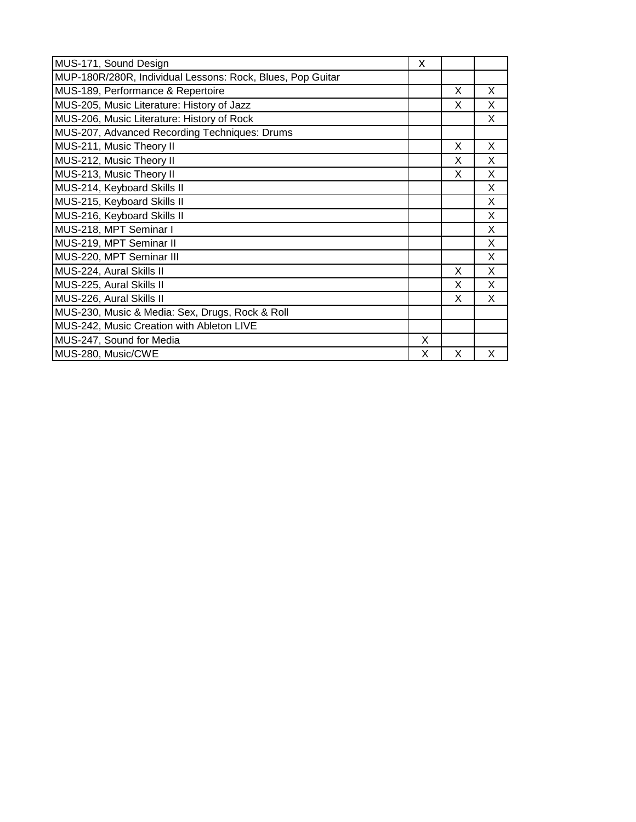| MUS-171, Sound Design                                      | X |   |   |
|------------------------------------------------------------|---|---|---|
| MUP-180R/280R, Individual Lessons: Rock, Blues, Pop Guitar |   |   |   |
| MUS-189, Performance & Repertoire                          |   | X | X |
| MUS-205, Music Literature: History of Jazz                 |   | X | X |
| MUS-206, Music Literature: History of Rock                 |   |   | X |
| MUS-207, Advanced Recording Techniques: Drums              |   |   |   |
| MUS-211, Music Theory II                                   |   | X | X |
| MUS-212, Music Theory II                                   |   | X | X |
| MUS-213, Music Theory II                                   |   | X | X |
| MUS-214, Keyboard Skills II                                |   |   | X |
| MUS-215, Keyboard Skills II                                |   |   | X |
| MUS-216, Keyboard Skills II                                |   |   | X |
| MUS-218, MPT Seminar I                                     |   |   | X |
| MUS-219, MPT Seminar II                                    |   |   | X |
| MUS-220, MPT Seminar III                                   |   |   | X |
| MUS-224, Aural Skills II                                   |   | X | X |
| MUS-225, Aural Skills II                                   |   | X | X |
| MUS-226, Aural Skills II                                   |   | X | X |
| MUS-230, Music & Media: Sex, Drugs, Rock & Roll            |   |   |   |
| MUS-242, Music Creation with Ableton LIVE                  |   |   |   |
| MUS-247, Sound for Media                                   | X |   |   |
| MUS-280, Music/CWE                                         | x | X | X |